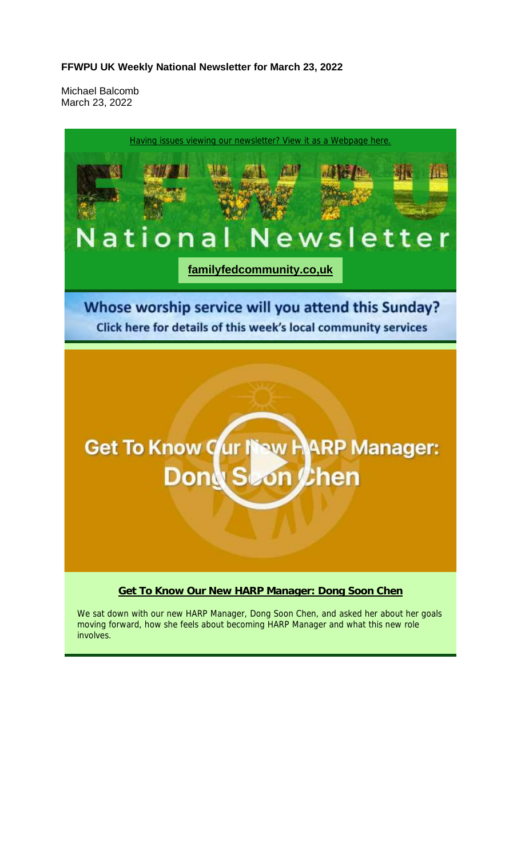#### **FFWPU UK Weekly National Newsletter for March 23, 2022**

Michael Balcomb March 23, 2022



involves.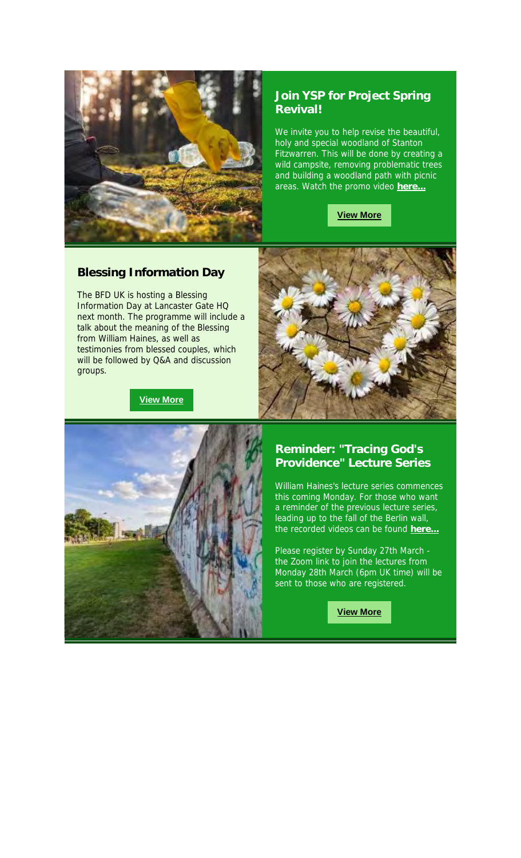

### **Join YSP for Project Spring Revival!**

We invite you to help revise the beautiful, holy and special woodland of Stanton Fitzwarren. This will be done by creating a wild campsite, removing problematic trees and building a woodland path with picnic areas. Watch the promo video **here...**



### **Blessing Information Day**

The BFD UK is hosting a Blessing Information Day at Lancaster Gate HQ next month. The programme will include a talk about the meaning of the Blessing from William Haines, as well as testimonies from blessed couples, which will be followed by Q&A and discussion groups.

**View More**





## **Reminder: "Tracing God's Providence" Lecture Series**

William Haines's lecture series commences this coming Monday. For those who want a reminder of the previous lecture series, leading up to the fall of the Berlin wall, the recorded videos can be found **here...**

Please register by Sunday 27th March the Zoom link to join the lectures from Monday 28th March (6pm UK time) will be sent to those who are registered.

**View More**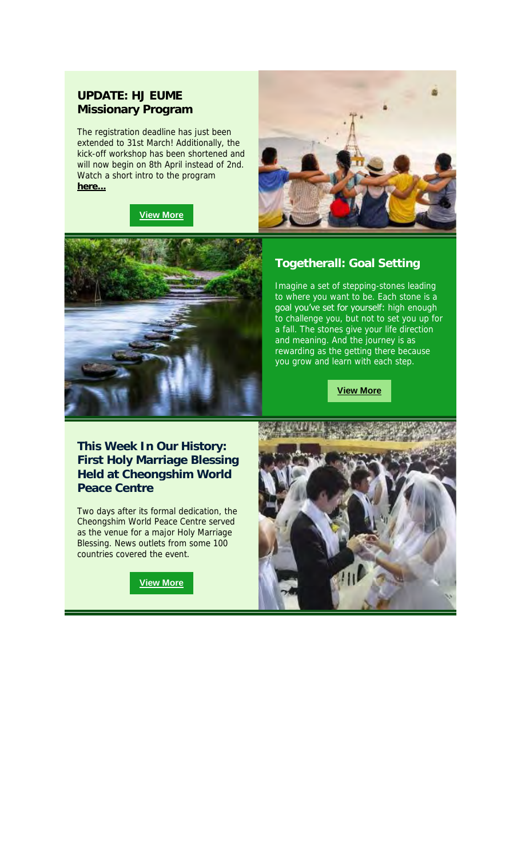#### **UPDATE: HJ EUME Missionary Program**

The registration deadline has just been extended to 31st March! Additionally, the kick-off workshop has been shortened and will now begin on 8th April instead of 2nd. Watch a short intro to the program **here...**

#### **View More**





### **Togetherall: Goal Setting**

Imagine a set of stepping-stones leading to where you want to be. Each stone is a goal you've set for yourself: high enough to challenge you, but not to set you up for a fall. The stones give your life direction and meaning. And the journey is as rewarding as the getting there because you grow and learn with each step.

**View More**

**This Week In Our History: First Holy Marriage Blessing Held at Cheongshim World Peace Centre**

Two days after its formal dedication, the Cheongshim World Peace Centre served as the venue for a major Holy Marriage Blessing. News outlets from some 100 countries covered the event.



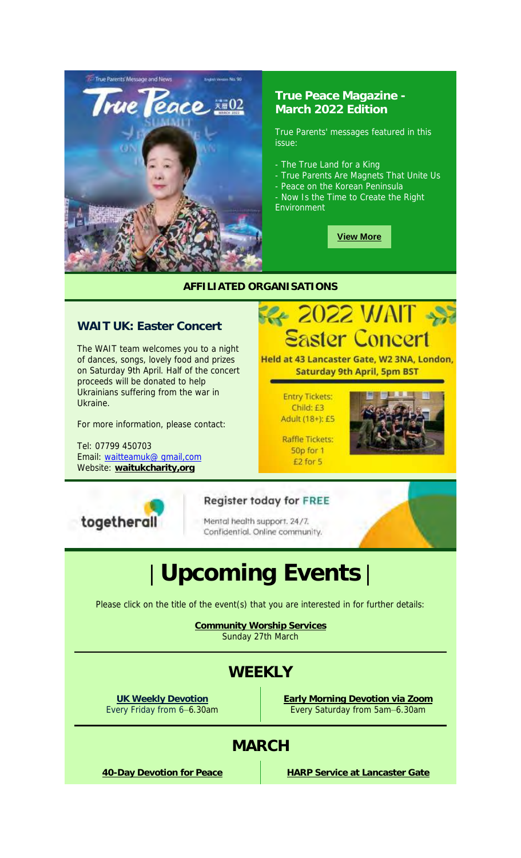

### **True Peace Magazine - March 2022 Edition**

True Parents' messages featured in this issue:

- The True Land for a King

- True Parents Are Magnets That Unite Us
- Peace on the Korean Peninsula
- Now Is the Time to Create the Right Environment

**View More**

**ERE** 2022 WAIT

Held at 43 Lancaster Gate, W2 3NA, London, **Saturday 9th April, 5pm BST** 

**Entry Tickets:** Child: £3 Adult (18+): £5

**Raffle Tickets:** 50p for 1 £2 for 5

#### **AFFILIATED ORGANISATIONS**

## **WAIT UK: Easter Concert**

The WAIT team welcomes you to a night of dances, songs, lovely food and prizes on Saturday 9th April. Half of the concert proceeds will be donated to help Ukrainians suffering from the war in Ukraine.

For more information, please contact:

Tel: 07799 450703 Email: waitteamuk@ gmail,com Website: **waitukcharity,org**



#### **Register today for FREE**

Mental health support. 24/7. Confidential. Online community.



Please click on the title of the event(s) that you are interested in for further details:

**Community Worship Services** Sunday 27th March

# **WEEKLY**

**UK Weekly Devotion** Every Friday from 6–6.30am **Early Morning Devotion via Zoom** Every Saturday from 5am–6.30am

# **MARCH**

**40-Day Devotion for Peace HARP Service at Lancaster Gate**